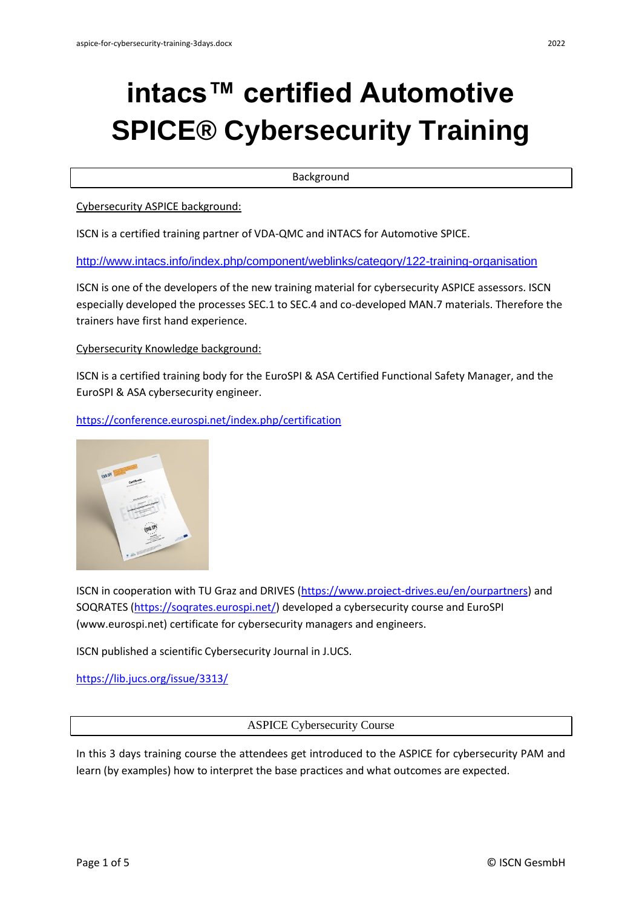# **intacs™ certified Automotive SPICE® Cybersecurity Training**

Background

Cybersecurity ASPICE background:

ISCN is a certified training partner of VDA-QMC and iNTACS for Automotive SPICE.

<http://www.intacs.info/index.php/component/weblinks/category/122-training-organisation>

ISCN is one of the developers of the new training material for cybersecurity ASPICE assessors. ISCN especially developed the processes SEC.1 to SEC.4 and co-developed MAN.7 materials. Therefore the trainers have first hand experience.

Cybersecurity Knowledge background:

ISCN is a certified training body for the EuroSPI & ASA Certified Functional Safety Manager, and the EuroSPI & ASA cybersecurity engineer.

<https://conference.eurospi.net/index.php/certification>



ISCN in cooperation with TU Graz and DRIVES [\(https://www.project-drives.eu/en/ourpartners\)](https://www.project-drives.eu/en/ourpartners) and SOQRATES [\(https://soqrates.eurospi.net/\)](https://soqrates.eurospi.net/) developed a cybersecurity course and EuroSPI (www.eurospi.net) certificate for cybersecurity managers and engineers.

ISCN published a scientific Cybersecurity Journal in J.UCS.

<https://lib.jucs.org/issue/3313/>

ASPICE Cybersecurity Course

In this 3 days training course the attendees get introduced to the ASPICE for cybersecurity PAM and learn (by examples) how to interpret the base practices and what outcomes are expected.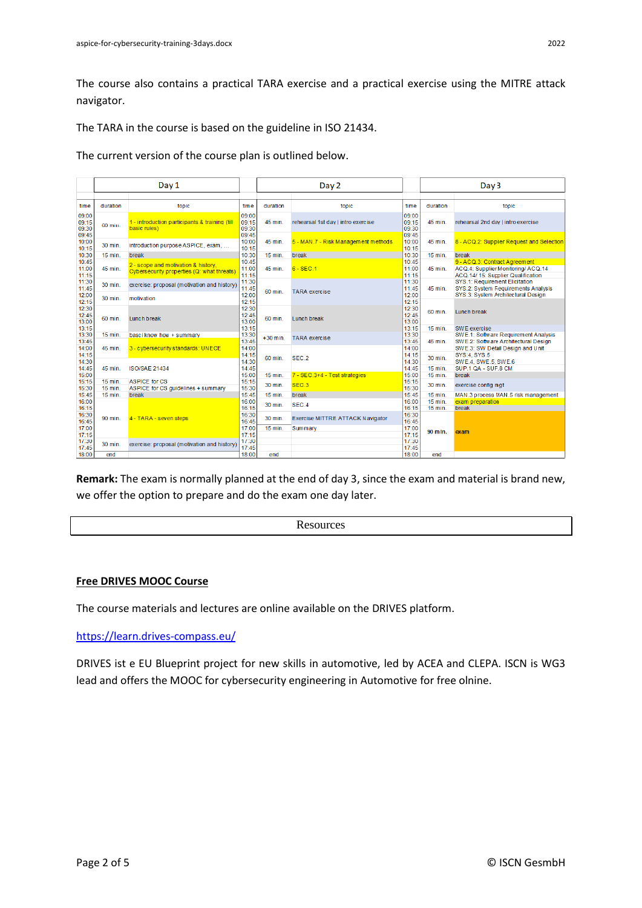The course also contains a practical TARA exercise and a practical exercise using the MITRE attack navigator.

The TARA in the course is based on the guideline in ISO 21434.

The current version of the course plan is outlined below.

|                                  | Day 1                |                                                                                   |                                  | Day 2      |                                     |                                  | Day <sub>3</sub>     |                                                                                                           |
|----------------------------------|----------------------|-----------------------------------------------------------------------------------|----------------------------------|------------|-------------------------------------|----------------------------------|----------------------|-----------------------------------------------------------------------------------------------------------|
|                                  |                      |                                                                                   |                                  |            |                                     |                                  |                      |                                                                                                           |
| time                             | duration             | topic                                                                             | time                             | duration   | topic                               | time                             | duration             | topic                                                                                                     |
| 09:00<br>09:15<br>09:30<br>09:45 | 60 min.              | 1 - introduction participants & training (till<br>basic rules)                    | 09:00<br>09:15<br>09:30<br>09:45 | 45 min.    | rehearsal 1st day   intro exercise  | 09:00<br>09:15<br>09:30<br>09:45 | 45 min.              | rehearsal 2nd day   intro exercise                                                                        |
| 10:00<br>10:15                   | 30 min.              | introduction purpose ASPICE, exam,                                                | 10:00<br>10:15                   | 45 min.    | 5 - MAN 7 - Risk Management methods | 10:00<br>10:15                   | 45 min.              | 8 - ACQ.2: Supplier Request and Selection                                                                 |
| 10:30                            | 15 min.              | break                                                                             | 10:30                            | 15 min.    | break                               | 10:30                            | 15 min.              | break                                                                                                     |
| 10:45<br>11:00<br>11:15          | 45 min.              | 2 - scope and motivation & history,<br>Cybersecurity properties (Q: what threats) | 10:45<br>11:00<br>11:15          | 45 min.    | $6 - SEC.1$                         | 10:45<br>11:00<br>11:15          | 45 min.              | 9 - ACQ.3: Contract Agreement<br>ACQ.4: Supplier Monitoring/ ACQ.14<br>ACQ.14/ 15: Supplier Qualification |
| 11:30<br>11:45                   | 30 min.              | exercise: proposal (motivation and history)                                       | 11:30<br>11:45                   | 60 min.    | <b>TARA</b> exercise                | 11:30<br>11:45                   | 45 min.              | SYS.1: Requirement Elicitation<br>SYS.2: System Requirements Analysis                                     |
| 12:00<br>12:15                   | 30 min.              | motivation                                                                        | 12:00<br>12:15                   |            |                                     | 12:00<br>12:15                   |                      | SYS.3: System Architectural Design                                                                        |
| 12:30<br>12:45<br>13:00          | 60 min.              | Lunch break                                                                       | 12:30<br>12:45<br>13:00          | 60 min.    | Lunch break                         | 12:30<br>12:45<br>13:00          | 60 min.              | Lunch break                                                                                               |
| 13:15                            |                      |                                                                                   | 13:15                            |            |                                     | 13:15                            | $15$ min.            | SWE exercise                                                                                              |
| 13:30<br>13:45                   | 15 min.              | basci know how + summary                                                          | 13:30<br>13:45                   | $+30$ min. | <b>TARA</b> exercise                | 13:30<br>13:45                   | 45 min.              | SWE.1: Software Requirement Analysis<br>SWE.2: Software Architectural Design                              |
| 14:00<br>14:15                   | 45 min.              | 3 - cybersecurity standards: UNECE                                                | 14:00<br>14:15                   | 60 min.    | SEC <sub>2</sub>                    | 14:00<br>14:15                   | 30 min.              | SWE.3: SW Detail Design and Unit<br>SYS:4, SYS.5                                                          |
| 14:30<br>14:45                   | 45 min.              | <b>ISO/SAE 21434</b>                                                              | 14:30<br>14:45                   |            |                                     | 14:30<br>14:45                   | 15 min.              | SWE.4, SWE.5, SWE.6<br>SUP.1 QA - SUP.8 CM                                                                |
| 15:00                            |                      |                                                                                   | 15:00                            | $15$ min.  | 7 - SEC.3+4 - Test strategies       | 15:00                            | $15$ min.            | break                                                                                                     |
| 15:15<br>15:30                   | $15$ min.<br>15 min. | <b>ASPICE for CS</b><br>ASPICE for CS quidelines + summary                        | 15:15<br>15:30                   | 30 min.    | SEC <sub>3</sub>                    | 15:15<br>15:30                   | 30 min.              | exercise config mgt                                                                                       |
| 15:45                            | $15$ min.            | break                                                                             | 15:45                            | $15$ min.  | break                               | 15:45                            | $15$ min.            | MAN.3 process MAN.5 risk management                                                                       |
| 16:00<br>16:15                   |                      |                                                                                   | 16:00<br>16:15                   | 30 min.    | SEC.4                               | 16:00<br>16:15                   | $15$ min.<br>15 min. | exam preparation<br>break                                                                                 |
| 16:30<br>16:45                   | 90 min.              | 4 - TARA - seven steps                                                            | 16:30<br>16:45                   | 30 min.    | Exercise MITTRE ATTACK Navigator    | 16:30<br>16:45                   |                      |                                                                                                           |
| 17:00<br>17:15                   |                      |                                                                                   | 17:00<br>17:15                   | 15 min.    | Summary                             | 17:00<br>17:15                   | 90 mln.              | exam                                                                                                      |
| 17:30<br>17:45                   | 30 min.              | exercise: proposal (motivation and history)                                       | 17:30<br>17:45                   |            |                                     | 17:30<br>17:45                   |                      |                                                                                                           |
| 18:00                            | end                  |                                                                                   | 18:00                            | end        |                                     | 18:00                            | end                  |                                                                                                           |

**Remark:** The exam is normally planned at the end of day 3, since the exam and material is brand new, we offer the option to prepare and do the exam one day later.

**Resources** 

## **Free DRIVES MOOC Course**

The course materials and lectures are online available on the DRIVES platform.

#### <https://learn.drives-compass.eu/>

DRIVES ist e EU Blueprint project for new skills in automotive, led by ACEA and CLEPA. ISCN is WG3 lead and offers the MOOC for cybersecurity engineering in Automotive for free olnine.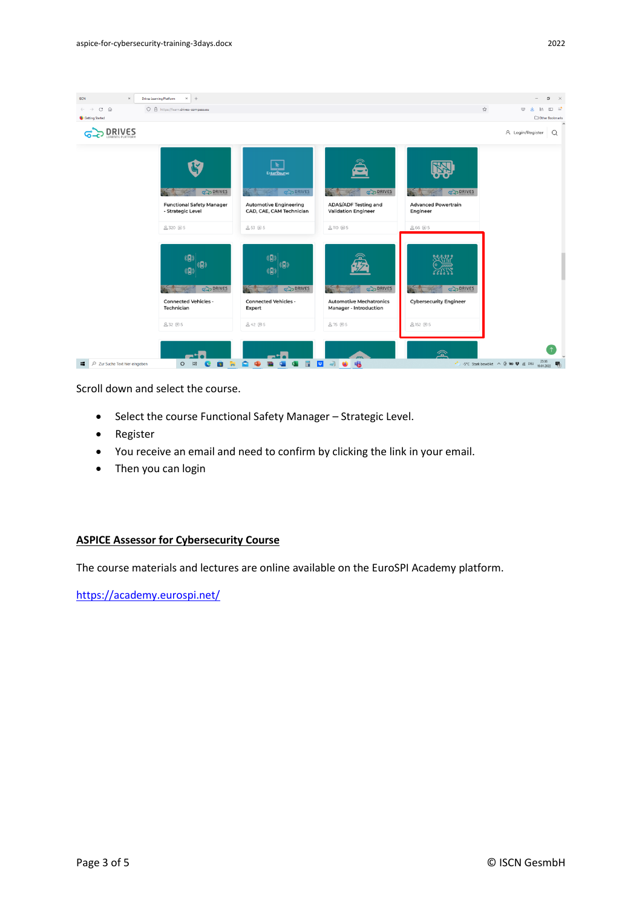

Scroll down and select the course.

- Select the course Functional Safety Manager Strategic Level.
- Register
- You receive an email and need to confirm by clicking the link in your email.
- Then you can login

### **ASPICE Assessor for Cybersecurity Course**

The course materials and lectures are online available on the EuroSPI Academy platform.

<https://academy.eurospi.net/>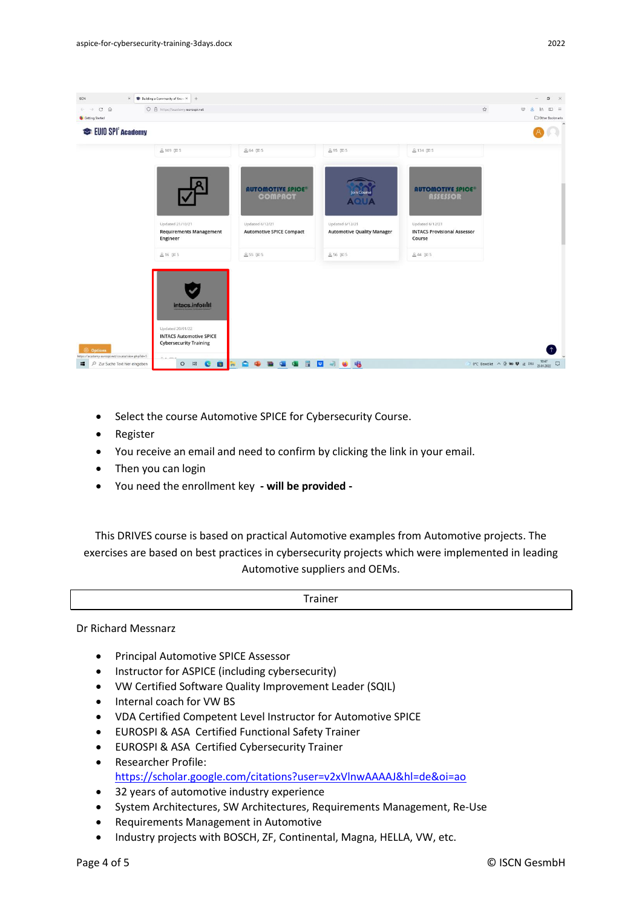

- Select the course Automotive SPICE for Cybersecurity Course.
- Register
- You receive an email and need to confirm by clicking the link in your email.
- Then you can login
- You need the enrollment key **- will be provided -**

This DRIVES course is based on practical Automotive examples from Automotive projects. The exercises are based on best practices in cybersecurity projects which were implemented in leading Automotive suppliers and OEMs.

Trainer

Dr Richard Messnarz

- Principal Automotive SPICE Assessor
- Instructor for ASPICE (including cybersecurity)
- VW Certified Software Quality Improvement Leader (SQIL)
- Internal coach for VW BS
- VDA Certified Competent Level Instructor for Automotive SPICE
- EUROSPI & ASA Certified Functional Safety Trainer
- EUROSPI & ASA Certified Cybersecurity Trainer
- Researcher Profile: <https://scholar.google.com/citations?user=v2xVlnwAAAAJ&hl=de&oi=ao>
- 32 years of automotive industry experience
- System Architectures, SW Architectures, Requirements Management, Re-Use
- Requirements Management in Automotive
- Industry projects with BOSCH, ZF, Continental, Magna, HELLA, VW, etc.